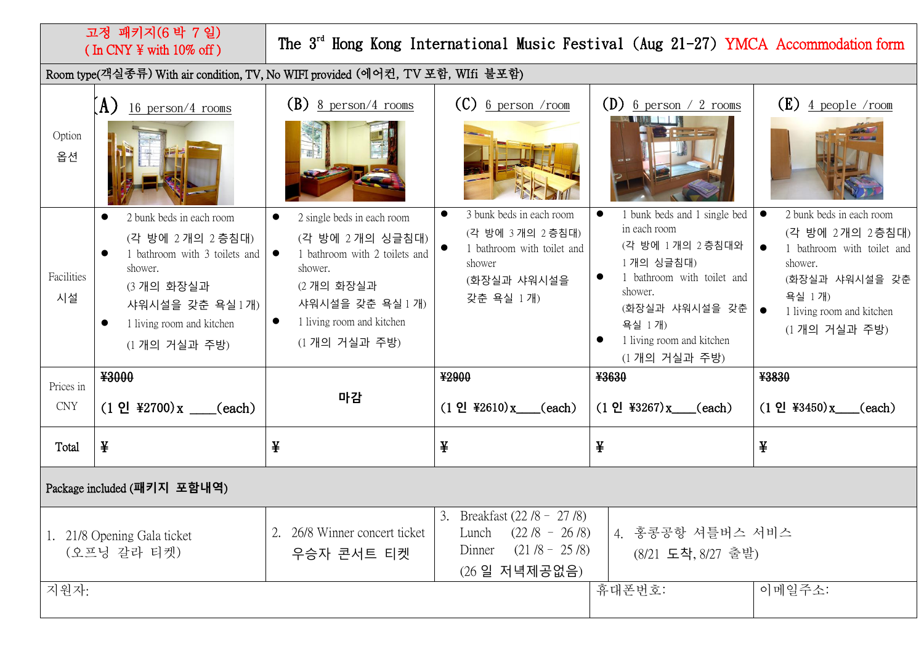## 고정 패키지(6 박 7 일) ( In CNY ¥ with 10% off )

## The 3<sup>rd</sup> Hong Kong International Music Festival (Aug 21-27) YMCA Accommodation form

Room type(객실종류) With air condition, TV, No WIFI provided (에어컨, TV 포함, WIfi 불포함)

| Option<br>옵션                               | $(A)$ 16 person/4 rooms                                                                                                                                                                                       | $(B)$ 8 person/4 rooms                                                                                                                                                                              | $(C)$ 6 person /room                                                                                                         | (D) 6 person $\frac{2 \text{ rooms}}{2}$                                                                                                                                                       | $(E)$ 4 people /room                                                                                                                                                       |  |  |  |
|--------------------------------------------|---------------------------------------------------------------------------------------------------------------------------------------------------------------------------------------------------------------|-----------------------------------------------------------------------------------------------------------------------------------------------------------------------------------------------------|------------------------------------------------------------------------------------------------------------------------------|------------------------------------------------------------------------------------------------------------------------------------------------------------------------------------------------|----------------------------------------------------------------------------------------------------------------------------------------------------------------------------|--|--|--|
| Facilities<br>시설                           | 2 bunk beds in each room<br>$\bullet$<br>(각 방에 2개의 2층침대)<br>1 bathroom with 3 toilets and<br>$\bullet$<br>shower.<br>(3 개의 화장실과<br>샤워시설을 갖춘 욕실 1개)<br>1 living room and kitchen<br>$\bullet$<br>(1 개의 거실과 주방) | 2 single beds in each room<br>$\bullet$<br>(각 방에 2개의 싱글침대)<br>1 bathroom with 2 toilets and<br>$\bullet$<br>shower.<br>(2 개의 화장실과<br>샤워시설을 갖춘 욕실 1 개)<br>1 living room and kitchen<br>(1 개의 거실과 주방) | 3 bunk beds in each room<br>$\bullet$<br>(각 방에 3개의 2층침대)<br>1 bathroom with toilet and<br>shower<br>(화장실과 샤워시설을<br>갖춘 욕실 1개) | 1 bunk beds and 1 single bed<br>in each room<br>(각 방에 1개의 2층침대와<br>1개의 싱글침대)<br>1 bathroom with toilet and<br>shower.<br>(화장실과 샤워시설을 갖춘<br>욕실 1개)<br>1 living room and kitchen<br>(1개의 거실과 주방) | 2 bunk beds in each room<br>$\bullet$<br>(각 방에 2개의 2층침대)<br>1 bathroom with toilet and<br>shower.<br>(화장실과 샤워시설을 갖춘<br>욕실 1개)<br>1 living room and kitchen<br>(1개의 거실과 주방) |  |  |  |
| Prices in                                  | ¥3000                                                                                                                                                                                                         |                                                                                                                                                                                                     | ¥2900                                                                                                                        | ¥3630                                                                                                                                                                                          | ¥3830                                                                                                                                                                      |  |  |  |
| <b>CNY</b>                                 | $(1 \tP1 \t#2700)x$ (each)                                                                                                                                                                                    | 마감                                                                                                                                                                                                  | $(1 \Omega \ \frac{42610}{x})$ (each)                                                                                        | $(1 \Omega$ ¥3267) x (each)                                                                                                                                                                    | $(1 \, 21 \, 43450)x$ (each)                                                                                                                                               |  |  |  |
| Total                                      | ¥                                                                                                                                                                                                             | ¥                                                                                                                                                                                                   | ¥                                                                                                                            | ¥                                                                                                                                                                                              | ¥                                                                                                                                                                          |  |  |  |
| Package included (패키지 포함내역)                |                                                                                                                                                                                                               |                                                                                                                                                                                                     |                                                                                                                              |                                                                                                                                                                                                |                                                                                                                                                                            |  |  |  |
| 1. 21/8 Opening Gala ticket<br>(오프닝 갈라 티켓) |                                                                                                                                                                                                               | 26/8 Winner concert ticket<br>2.<br>우승자 콘서트 티켓                                                                                                                                                      | 3. Breakfast $(22/8 - 27/8)$<br>Lunch $(22/8 - 26/8)$<br>$(21/8 - 25/8)$<br>Dinner<br>(26일 저녁제공없음)                           | 4. 홍콩공항 셔틀버스 서비스<br>(8/21 도착, 8/27 출발)                                                                                                                                                         |                                                                                                                                                                            |  |  |  |
| 지원자:                                       |                                                                                                                                                                                                               |                                                                                                                                                                                                     |                                                                                                                              |                                                                                                                                                                                                |                                                                                                                                                                            |  |  |  |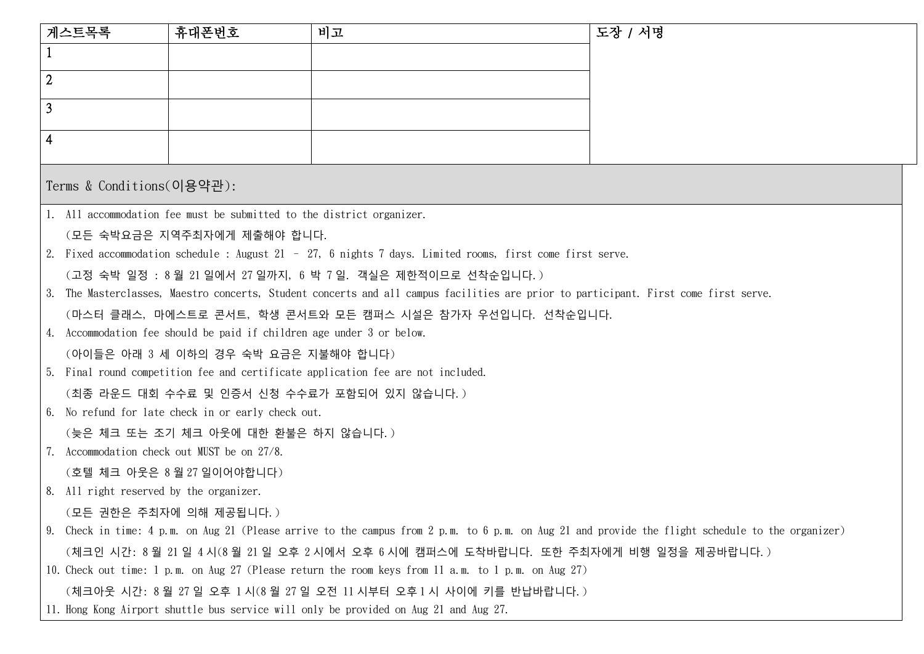| 게스트목록                                                                                                                                             | 휴대폰번호                                                                                                                                | 비고 | 도장 / 서명 |  |  |  |  |
|---------------------------------------------------------------------------------------------------------------------------------------------------|--------------------------------------------------------------------------------------------------------------------------------------|----|---------|--|--|--|--|
|                                                                                                                                                   |                                                                                                                                      |    |         |  |  |  |  |
| $\overline{2}$                                                                                                                                    |                                                                                                                                      |    |         |  |  |  |  |
| 3                                                                                                                                                 |                                                                                                                                      |    |         |  |  |  |  |
| $\overline{4}$                                                                                                                                    |                                                                                                                                      |    |         |  |  |  |  |
|                                                                                                                                                   |                                                                                                                                      |    |         |  |  |  |  |
| Terms & Conditions(이용약관):                                                                                                                         |                                                                                                                                      |    |         |  |  |  |  |
| 1. All accommodation fee must be submitted to the district organizer.                                                                             |                                                                                                                                      |    |         |  |  |  |  |
| (모든 숙박요금은 지역주최자에게 제출해야 합니다.                                                                                                                       |                                                                                                                                      |    |         |  |  |  |  |
| 2. Fixed accommodation schedule: August 21 - 27, 6 nights 7 days. Limited rooms, first come first serve.                                          |                                                                                                                                      |    |         |  |  |  |  |
|                                                                                                                                                   | (고정 숙박 일정 : 8월 21일에서 27일까지, 6 박 7일. 객실은 제한적이므로 선착순입니다.)                                                                              |    |         |  |  |  |  |
|                                                                                                                                                   | 3. The Masterclasses, Maestro concerts, Student concerts and all campus facilities are prior to participant. First come first serve. |    |         |  |  |  |  |
| (마스터 클래스, 마에스트로 콘서트, 학생 콘서트와 모든 캠퍼스 시설은 참가자 우선입니다. 선착순입니다.                                                                                        |                                                                                                                                      |    |         |  |  |  |  |
|                                                                                                                                                   | 4. Accommodation fee should be paid if children age under 3 or below.                                                                |    |         |  |  |  |  |
| (아이들은 아래 3 세 이하의 경우 숙박 요금은 지불해야 합니다)                                                                                                              |                                                                                                                                      |    |         |  |  |  |  |
| 5. Final round competition fee and certificate application fee are not included.                                                                  |                                                                                                                                      |    |         |  |  |  |  |
|                                                                                                                                                   | (최종 라운드 대회 수수료 및 인증서 신청 수수료가 포함되어 있지 않습니다.)                                                                                          |    |         |  |  |  |  |
| 6. No refund for late check in or early check out.                                                                                                |                                                                                                                                      |    |         |  |  |  |  |
| (늦은 체크 또는 조기 체크 아웃에 대한 환불은 하지 않습니다.)                                                                                                              |                                                                                                                                      |    |         |  |  |  |  |
| 7. Accommodation check out MUST be on 27/8.                                                                                                       |                                                                                                                                      |    |         |  |  |  |  |
| (호텔 체크 아웃은 8월27일이어야합니다)                                                                                                                           |                                                                                                                                      |    |         |  |  |  |  |
| 8. All right reserved by the organizer.                                                                                                           |                                                                                                                                      |    |         |  |  |  |  |
| (모든 권한은 주최자에 의해 제공됩니다.)                                                                                                                           |                                                                                                                                      |    |         |  |  |  |  |
| 9. Check in time: 4 p.m. on Aug 21 (Please arrive to the campus from 2 p.m. to 6 p.m. on Aug 21 and provide the flight schedule to the organizer) |                                                                                                                                      |    |         |  |  |  |  |
| (체크인 시간: 8 월 21 일 4 시(8 월 21 일 오후 2 시에서 오후 6 시에 캠퍼스에 도착바랍니다. 또한 주최자에게 비행 일정을 제공바랍니다.)                                                             |                                                                                                                                      |    |         |  |  |  |  |
| 10. Check out time: 1 p.m. on Aug 27 (Please return the room keys from 11 a.m. to 1 p.m. on Aug 27)                                               |                                                                                                                                      |    |         |  |  |  |  |
| (체크아웃 시간: 8 월 27 일 오후 1 시(8 월 27 일 오전 11 시부터 오후 1 시 사이에 키를 반납바랍니다.)                                                                               |                                                                                                                                      |    |         |  |  |  |  |
|                                                                                                                                                   | 11. Hong Kong Airport shuttle bus service will only be provided on Aug 21 and Aug 27.                                                |    |         |  |  |  |  |